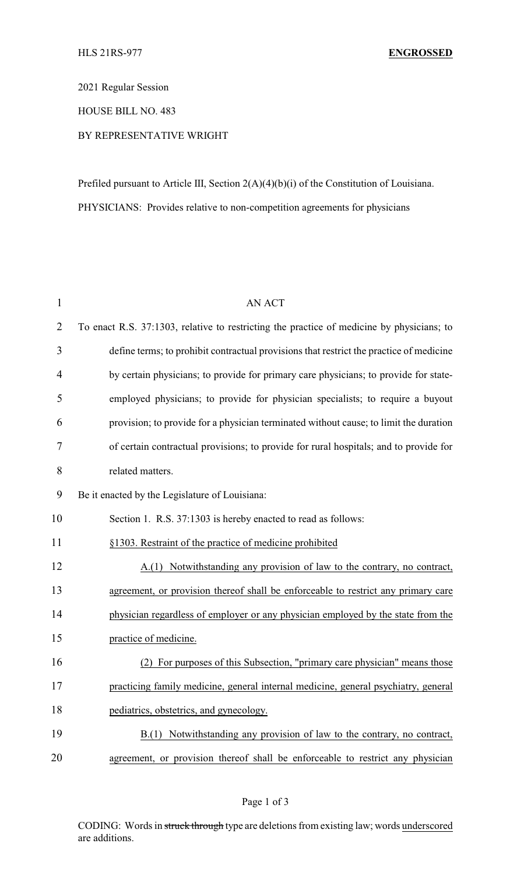2021 Regular Session

HOUSE BILL NO. 483

## BY REPRESENTATIVE WRIGHT

Prefiled pursuant to Article III, Section 2(A)(4)(b)(i) of the Constitution of Louisiana. PHYSICIANS: Provides relative to non-competition agreements for physicians

| $\mathbf{1}$ | <b>AN ACT</b>                                                                             |
|--------------|-------------------------------------------------------------------------------------------|
| 2            | To enact R.S. 37:1303, relative to restricting the practice of medicine by physicians; to |
| 3            | define terms; to prohibit contractual provisions that restrict the practice of medicine   |
| 4            | by certain physicians; to provide for primary care physicians; to provide for state-      |
| 5            | employed physicians; to provide for physician specialists; to require a buyout            |
| 6            | provision; to provide for a physician terminated without cause; to limit the duration     |
| 7            | of certain contractual provisions; to provide for rural hospitals; and to provide for     |
| 8            | related matters.                                                                          |
| 9            | Be it enacted by the Legislature of Louisiana:                                            |
| 10           | Section 1. R.S. 37:1303 is hereby enacted to read as follows:                             |
| 11           | §1303. Restraint of the practice of medicine prohibited                                   |
| 12           | Notwithstanding any provision of law to the contrary, no contract,<br>A(1)                |
| 13           | agreement, or provision thereof shall be enforceable to restrict any primary care         |
| 14           | physician regardless of employer or any physician employed by the state from the          |
| 15           | practice of medicine.                                                                     |
| 16           | (2) For purposes of this Subsection, "primary care physician" means those                 |
| 17           | practicing family medicine, general internal medicine, general psychiatry, general        |
| 18           | pediatrics, obstetrics, and gynecology.                                                   |
| 19           | $B(1)$ Notwithstanding any provision of law to the contrary, no contract,                 |
| 20           | agreement, or provision thereof shall be enforceable to restrict any physician            |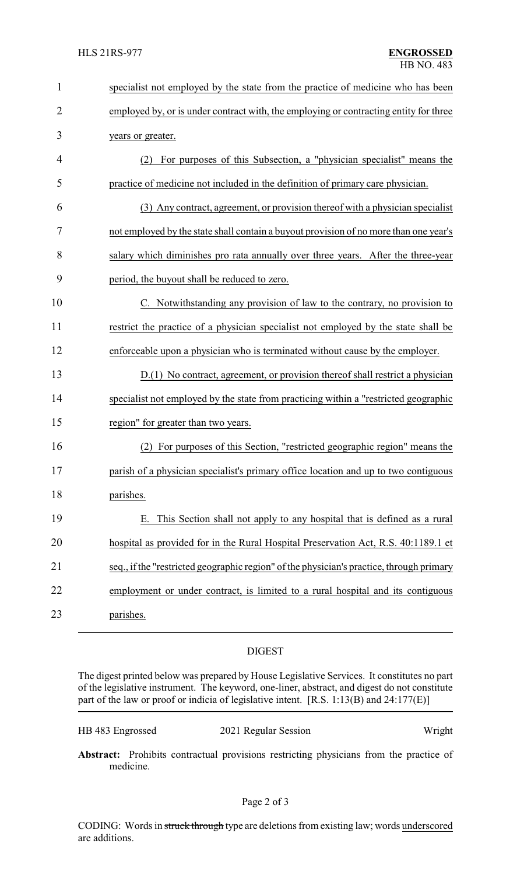| $\mathbf{1}$   | specialist not employed by the state from the practice of medicine who has been          |
|----------------|------------------------------------------------------------------------------------------|
| $\overline{2}$ | employed by, or is under contract with, the employing or contracting entity for three    |
| 3              | years or greater.                                                                        |
| $\overline{4}$ | For purposes of this Subsection, a "physician specialist" means the<br>(2)               |
| 5              | practice of medicine not included in the definition of primary care physician.           |
| 6              | (3) Any contract, agreement, or provision thereof with a physician specialist            |
| 7              | not employed by the state shall contain a buyout provision of no more than one year's    |
| 8              | salary which diminishes pro rata annually over three years. After the three-year         |
| 9              | period, the buyout shall be reduced to zero.                                             |
| 10             | C. Notwithstanding any provision of law to the contrary, no provision to                 |
| 11             | restrict the practice of a physician specialist not employed by the state shall be       |
| 12             | enforceable upon a physician who is terminated without cause by the employer.            |
| 13             | $D(1)$ No contract, agreement, or provision thereof shall restrict a physician           |
| 14             | specialist not employed by the state from practicing within a "restricted geographic     |
| 15             | region" for greater than two years.                                                      |
| 16             | For purposes of this Section, "restricted geographic region" means the                   |
| 17             | parish of a physician specialist's primary office location and up to two contiguous      |
| 18             | parishes.                                                                                |
| 19             | This Section shall not apply to any hospital that is defined as a rural                  |
| 20             | hospital as provided for in the Rural Hospital Preservation Act, R.S. 40:1189.1 et       |
| 21             | seq., if the "restricted geographic region" of the physician's practice, through primary |
| 22             | employment or under contract, is limited to a rural hospital and its contiguous          |
| 23             | parishes.                                                                                |

## DIGEST

The digest printed below was prepared by House Legislative Services. It constitutes no part of the legislative instrument. The keyword, one-liner, abstract, and digest do not constitute part of the law or proof or indicia of legislative intent. [R.S. 1:13(B) and 24:177(E)]

HB 483 Engrossed 2021 Regular Session Wright

**Abstract:** Prohibits contractual provisions restricting physicians from the practice of medicine.

CODING: Words in struck through type are deletions from existing law; words underscored are additions.